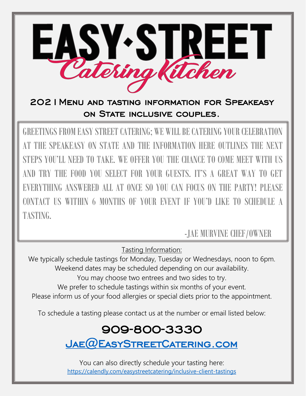

2021Menu and tasting information for Speakeasy ON STATE INCLUSIVE COUPLES.

GREETINGS FROM EASY STREET CATERING; WE WILL BE CATERING YOUR CELEBRATION AT THE SPEAKEASY ON STATE AND THE INFORMATION HERE OUTLINES THE NEXT STEPS YOU'LL NEED TO TAKE. WE OFFER YOU THE CHANCE TO COME MEET WITH US AND TRY THE FOOD YOU SELECT FOR YOUR GUESTS. IT'S A GREAT WAY TO GET EVERYTHING ANSWERED ALL AT ONCE SO YOU CAN FOCUS ON THE PARTY! PLEASE CONTACT US WITHIN 6 MONTHS OF YOUR EVENT IF YOU'D LIKE TO SCHEDULE A TASTING.

-JAE MURVINE CHEF/OWNER

Tasting Information:

We typically schedule tastings for Monday, Tuesday or Wednesdays, noon to 6pm. Weekend dates may be scheduled depending on our availability. You may choose two entrees and two sides to try. We prefer to schedule tastings within six months of your event. Please inform us of your food allergies or special diets prior to the appointment.

To schedule a tasting please contact us at the number or email listed below:

## 909-800-3330

[Jae@EasyStreetCatering.com](mailto:Jae@EasyStreetCatering.com) 

You can also directly schedule your tasting here: <https://calendly.com/easystreetcatering/inclusive-client-tastings>